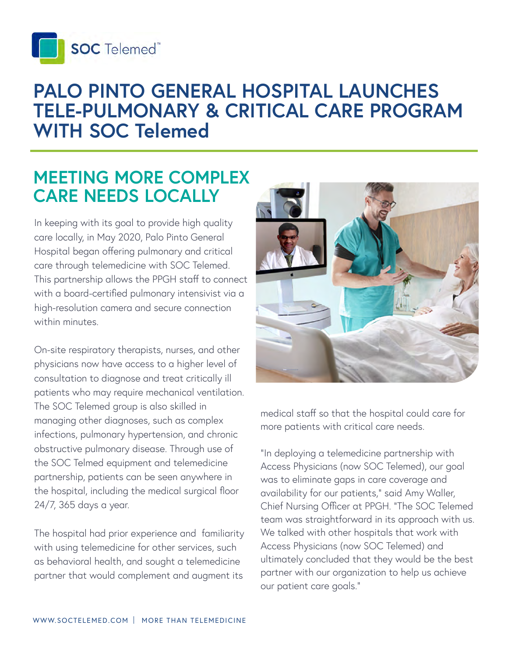

# **PALO PINTO GENERAL HOSPITAL LAUNCHES TELE-PULMONARY & CRITICAL CARE PROGRAM WITH SOC Telemed**

### **MEETING MORE COMPLEX CARE NEEDS LOCALLY**

In keeping with its goal to provide high quality care locally, in May 2020, Palo Pinto General Hospital began offering pulmonary and critical care through telemedicine with SOC Telemed. This partnership allows the PPGH staff to connect with a board-certified pulmonary intensivist via a high-resolution camera and secure connection within minutes.

On-site respiratory therapists, nurses, and other physicians now have access to a higher level of consultation to diagnose and treat critically ill patients who may require mechanical ventilation. The SOC Telemed group is also skilled in managing other diagnoses, such as complex infections, pulmonary hypertension, and chronic obstructive pulmonary disease. Through use of the SOC Telmed equipment and telemedicine partnership, patients can be seen anywhere in the hospital, including the medical surgical floor 24/7, 365 days a year.

The hospital had prior experience and familiarity with using telemedicine for other services, such as behavioral health, and sought a telemedicine partner that would complement and augment its



medical staff so that the hospital could care for more patients with critical care needs.

"In deploying a telemedicine partnership with Access Physicians (now SOC Telemed), our goal was to eliminate gaps in care coverage and availability for our patients," said Amy Waller, Chief Nursing Officer at PPGH. "The SOC Telemed team was straightforward in its approach with us. We talked with other hospitals that work with Access Physicians (now SOC Telemed) and ultimately concluded that they would be the best partner with our organization to help us achieve our patient care goals."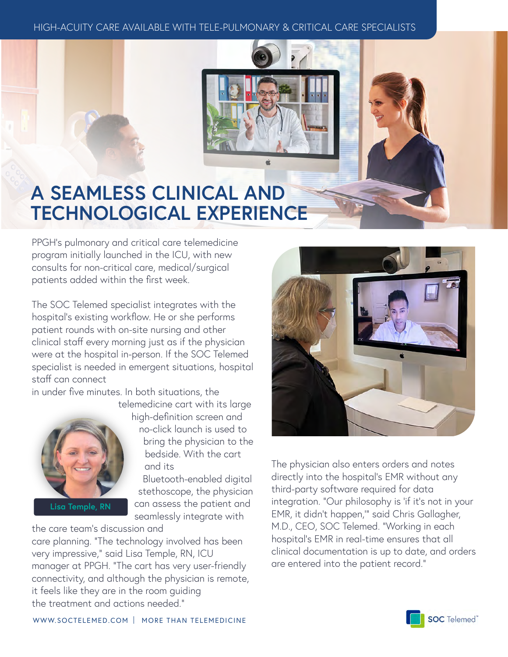#### HIGH-ACUITY CARE AVAILABLE WITH TELE-PULMONARY & CRITICAL CARE SPECIALISTS

# **A SEAMLESS CLINICAL AND TECHNOLOGICAL EXPERIENCE**

PPGH's pulmonary and critical care telemedicine program initially launched in the ICU, with new consults for non-critical care, medical/surgical patients added within the first week.

The SOC Telemed specialist integrates with the hospital's existing workflow. He or she performs patient rounds with on-site nursing and other clinical staff every morning just as if the physician were at the hospital in-person. If the SOC Telemed specialist is needed in emergent situations, hospital staff can connect

in under five minutes. In both situations, the telemedicine cart with its large



**Lisa Temple, RN**

high-definition screen and no-click launch is used to bring the physician to the

bedside. With the cart and its

Bluetooth-enabled digital stethoscope, the physician can assess the patient and seamlessly integrate with

the care team's discussion and care planning. "The technology involved has been very impressive," said Lisa Temple, RN, ICU manager at PPGH. "The cart has very user-friendly connectivity, and although the physician is remote, it feels like they are in the room guiding the treatment and actions needed."



The physician also enters orders and notes directly into the hospital's EMR without any third-party software required for data integration. "Our philosophy is 'if it's not in your EMR, it didn't happen,'" said Chris Gallagher, M.D., CEO, SOC Telemed. "Working in each hospital's EMR in real-time ensures that all clinical documentation is up to date, and orders are entered into the patient record."

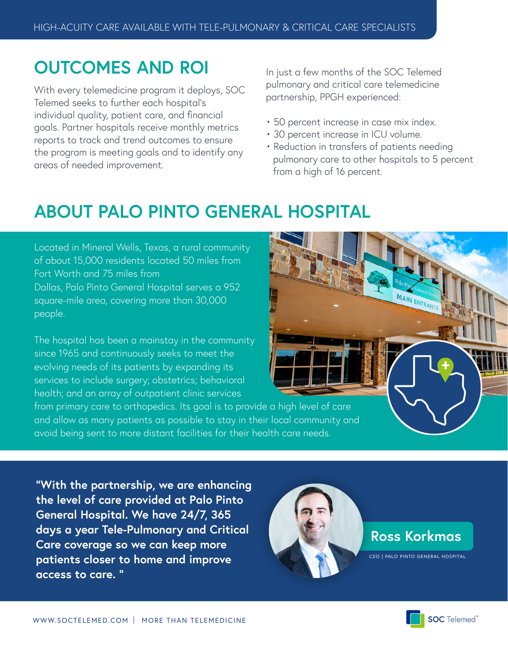# **OUTCOMES AND ROI**

With every telemedicine program it deploys, SOC Telemed seeks to further each hospital's individual quality, patient care, and financial goals. Partner hospitals receive monthly metrics reports to track and trend outcomes to ensure the program is meeting goals and to identify any areas of needed improvement.

In just a few months of the SOC Telemed pulmonary and critical care telemedicine partnership, PPGH experienced:

- 50 percent increase in case mix index.
- 30 percent increase in ICU volume.
- Reduction in transfers of patients needing pulmonary care to other hospitals to 5 percent from a high of 16 percent.

# **ABOUT PALO PINTO GENERAL HOSPITAL**

Located in Mineral Wells, Texas, a rural community of about 15,000 residents located 50 miles from Fort Worth and 75 miles from Dallas, Palo Pinto General Hospital serves a 952 square-mile area, covering more than 30,000 people.

The hospital has been a mainstay in the community since 1965 and continuously seeks to meet the evolving needs of its patients by expanding its services to include surgery; obstetrics; behavioral health; and an array of outpatient clinic services

from primary care to orthopedics. Its goal is to provide a high level of care and allow as many patients as possible to stay in their local community and avoid being sent to more distant facilities for their health care needs.

**"With the partnership, we are enhancing the level of care provided at Palo Pinto General Hospital. We have 24/7, 365 days a year Tele-Pulmonary and Critical Care coverage so we can keep more patients closer to home and improve access to care. "**



#### **Ross Korkmas**

CEO | PALO PINTO GENERAL HOSPITAL